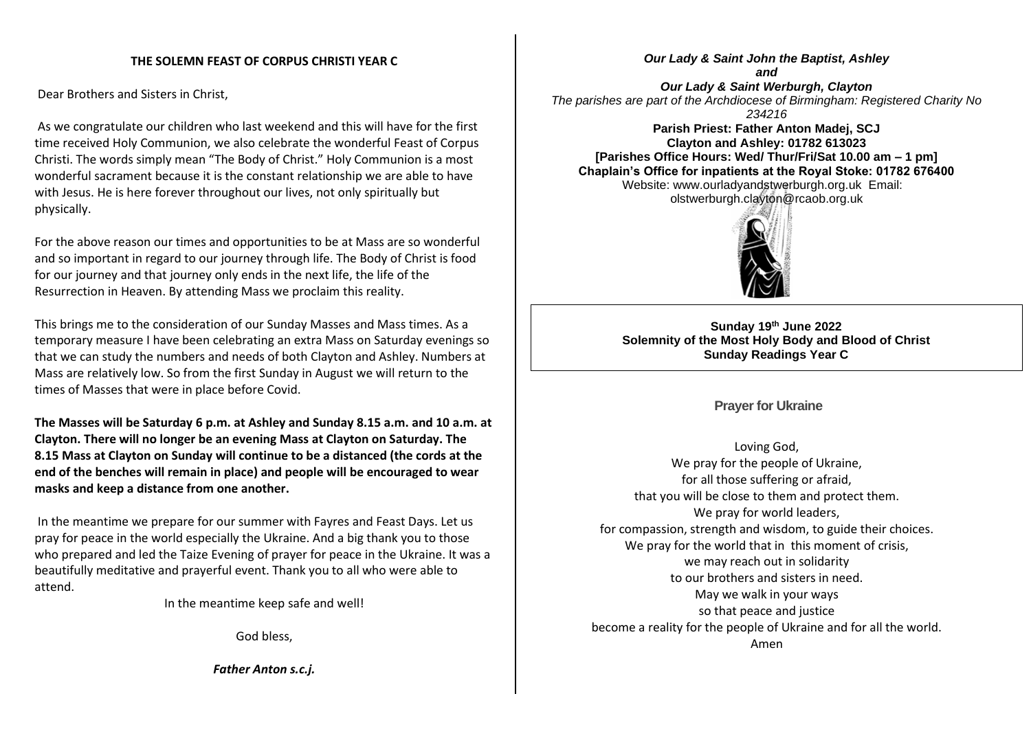## **THE SOLEMN FEAST OF CORPUS CHRISTI YEAR C**

Dear Brothers and Sisters in Christ,

As we congratulate our children who last weekend and this will have for the first time received Holy Communion, we also celebrate the wonderful Feast of Corpus Christi. The words simply mean "The Body of Christ." Holy Communion is a most wonderful sacrament because it is the constant relationship we are able to have with Jesus. He is here forever throughout our lives, not only spiritually but physically.

For the above reason our times and opportunities to be at Mass are so wonderful and so important in regard to our journey through life. The Body of Christ is food for our journey and that journey only ends in the next life, the life of the Resurrection in Heaven. By attending Mass we proclaim this reality.

This brings me to the consideration of our Sunday Masses and Mass times. As a temporary measure I have been celebrating an extra Mass on Saturday evenings so that we can study the numbers and needs of both Clayton and Ashley. Numbers at Mass are relatively low. So from the first Sunday in August we will return to the times of Masses that were in place before Covid.

**The Masses will be Saturday 6 p.m. at Ashley and Sunday 8.15 a.m. and 10 a.m. at Clayton. There will no longer be an evening Mass at Clayton on Saturday. The 8.15 Mass at Clayton on Sunday will continue to be a distanced (the cords at the end of the benches will remain in place) and people will be encouraged to wear masks and keep a distance from one another.**

In the meantime we prepare for our summer with Fayres and Feast Days. Let us pray for peace in the world especially the Ukraine. And a big thank you to those who prepared and led the Taize Evening of prayer for peace in the Ukraine. It was a beautifully meditative and prayerful event. Thank you to all who were able to attend.

In the meantime keep safe and well!

God bless,

*Father Anton s.c.j.*

*Our Lady & Saint John the Baptist, Ashley and Our Lady & Saint Werburgh, Clayton The parishes are part of the Archdiocese of Birmingham: Registered Charity No 234216*

**Parish Priest: Father Anton Madej, SCJ Clayton and Ashley: 01782 613023 [Parishes Office Hours: Wed/ Thur/Fri/Sat 10.00 am – 1 pm] Chaplain's Office for inpatients at the Royal Stoke: 01782 676400** Website: www.ourladyandstwerburgh.org.uk Email: olstwerburgh.clayton@rcaob.org.uk



**Sunday 19th June 2022 Solemnity of the Most Holy Body and Blood of Christ Sunday Readings Year C**

## **Prayer for Ukraine**

Loving God, We pray for the people of Ukraine. for all those suffering or afraid, that you will be close to them and protect them. We pray for world leaders, for compassion, strength and wisdom, to guide their choices. We pray for the world that in this moment of crisis, we may reach out in solidarity to our brothers and sisters in need. May we walk in your ways so that peace and justice become a reality for the people of Ukraine and for all the world. Amen